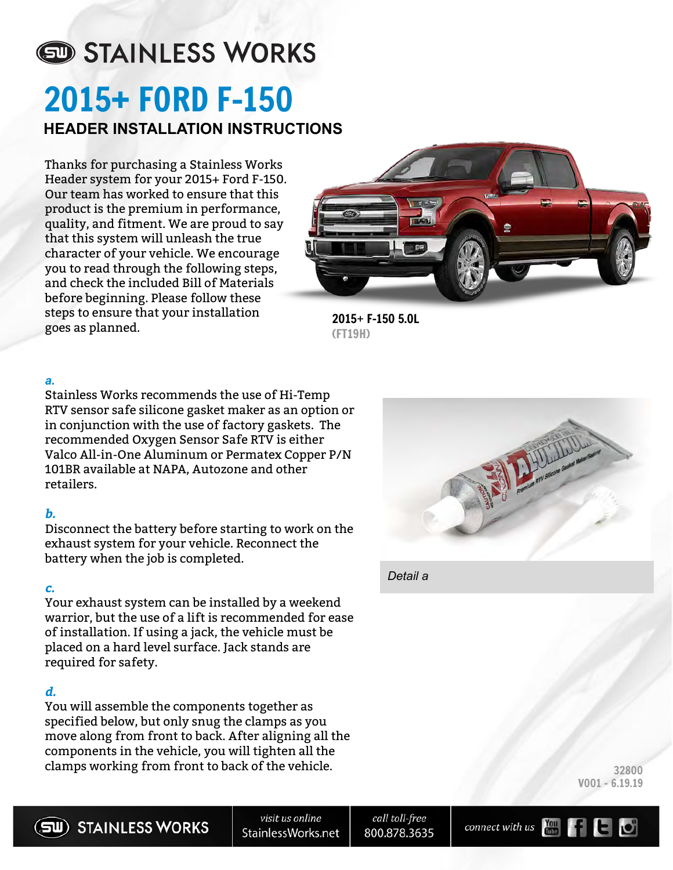# STAINLESS WORKS 2015**+** FORD F-150 **HEADER INSTALLATION INSTRUCTIONS**

Thanks for purchasing a Stainless Works Header system for your 2015+ Ford F-150. Our team has worked to ensure that this product is the premium in performance, quality, and fitment. We are proud to say that this system will unleash the true character of your vehicle. We encourage you to read through the following steps, and check the included Bill of Materials before beginning. Please follow these steps to ensure that your installation goes as planned.



2015+ F-150 5.0L (FT19H)

## *a.*

Stainless Works recommends the use of Hi-Temp RTV sensor safe silicone gasket maker as an option or in conjunction with the use of factory gaskets. The recommended Oxygen Sensor Safe RTV is either Valco All-in-One Aluminum or Permatex Copper P/N 101BR available at NAPA, Autozone and other retailers.

## **b.**

Disconnect the battery before starting to work on the exhaust system for your vehicle. Reconnect the battery when the job is completed.

## **c.**

Your exhaust system can be installed by a weekend warrior, but the use of a lift is recommended for ease of installation. If using a jack, the vehicle must be placed on a hard level surface. Jack stands are required for safety.

## **d.**

You will assemble the components together as specified below, but only snug the clamps as you move along from front to back. After aligning all the components in the vehicle, you will tighten all the clamps working from front to back of the vehicle.



*Detail a*

32800 V001 - 6.19.19



call toll-free 800.878.3635

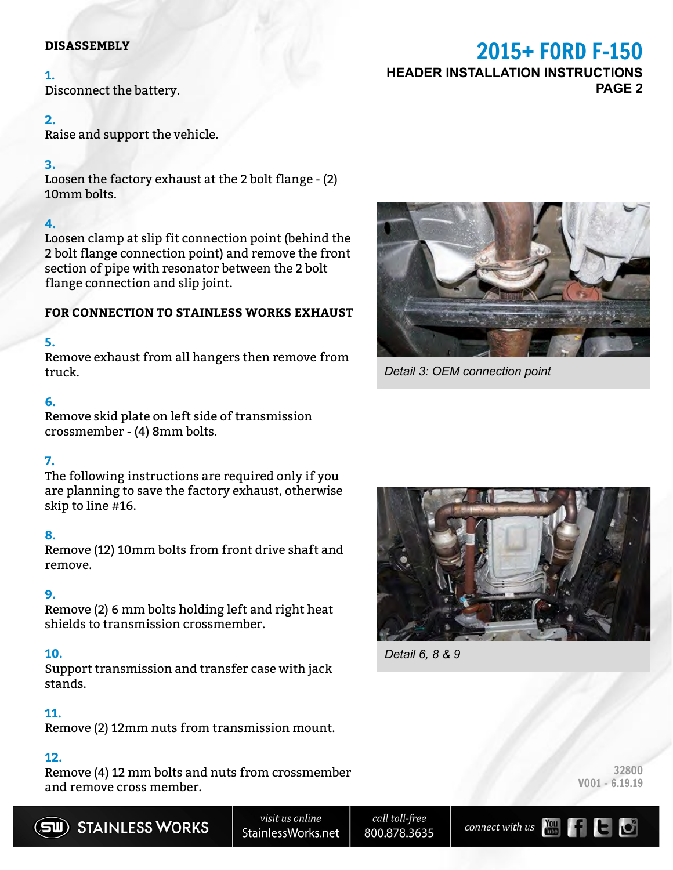#### **DISASSEMBLY**

#### **1.**

Disconnect the battery.

#### **2.**

Raise and support the vehicle.

#### **3.**

Loosen the factory exhaust at the 2 bolt flange - (2) 10mm bolts.

## **4.**

Loosen clamp at slip fit connection point (behind the 2 bolt flange connection point) and remove the front section of pipe with resonator between the 2 bolt flange connection and slip joint.

#### **FOR CONNECTION TO STAINLESS WORKS EXHAUST**

## **5.**

Remove exhaust from all hangers then remove from truck.

#### **6.**

Remove skid plate on left side of transmission crossmember - (4) 8mm bolts.

## **7.**

The following instructions are required only if you are planning to save the factory exhaust, otherwise skip to line #16.

## **8.**

Remove (12) 10mm bolts from front drive shaft and remove.

## **9.**

Remove (2) 6 mm bolts holding left and right heat shields to transmission crossmember.

## **10.**

Support transmission and transfer case with jack stands.

## **11.**

Remove (2) 12mm nuts from transmission mount.

#### **12.**

Remove (4) 12 mm bolts and nuts from crossmember and remove cross member.





call toll-free 800.878.3635



32800 V001 - 6.19.19

## 2015**+** FORD F-150 **HEADER INSTALLATION INSTRUCTIONS PAGE 2**



*Detail 3: OEM connection point*



*Detail 6, 8 & 9*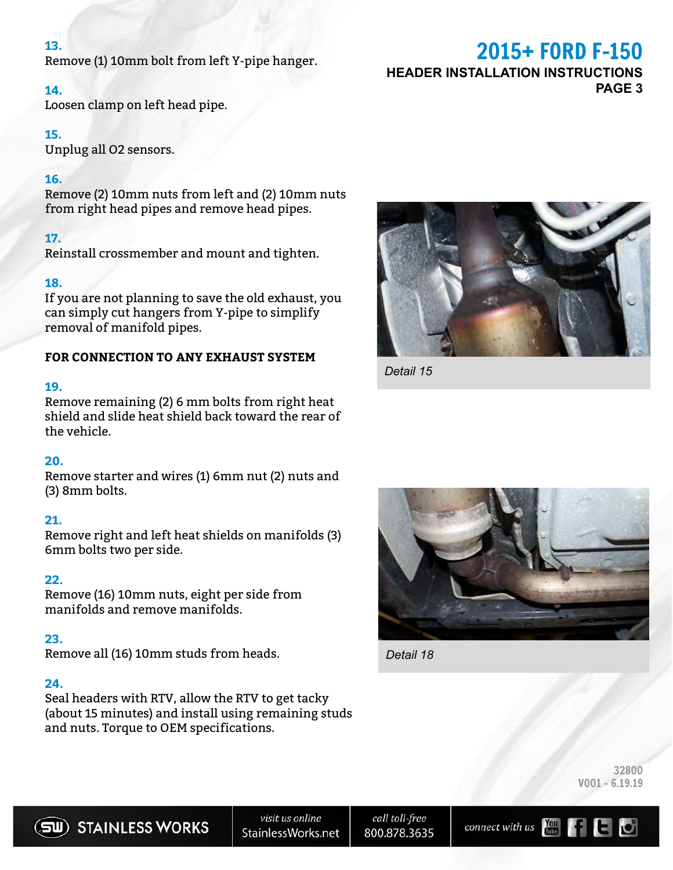#### **13.**

Remove (1) 10mm bolt from left Y-pipe hanger.

#### **14.**

Loosen clamp on left head pipe.

#### **15.**

Unplug all O2 sensors.

#### **16.**

Remove (2) 10mm nuts from left and (2) 10mm nuts from right head pipes and remove head pipes.

#### **17.**

Reinstall crossmember and mount and tighten.

#### **18.**

If you are not planning to save the old exhaust, you can simply cut hangers from Y-pipe to simplify removal of manifold pipes.

#### **FOR CONNECTION TO ANY EXHAUST SYSTEM**

#### **19.**

Remove remaining (2) 6 mm bolts from right heat shield and slide heat shield back toward the rear of the vehicle.

#### **20.**

Remove starter and wires (1) 6mm nut (2) nuts and (3) 8mm bolts.

#### **21.**

Remove right and left heat shields on manifolds (3) 6mm bolts two per side.

#### **22.**

Remove (16) 10mm nuts, eight per side from manifolds and remove manifolds.

#### **23.**

Remove all (16) 10mm studs from heads.

#### **24.**

Seal headers with RTV, allow the RTV to get tacky (about 15 minutes) and install using remaining studs and nuts. Torque to OEM specifications.



*Detail 15*



*Detail 18*

32800 V001 - 6.19.19



call toll-free 800.878.3635



## 2015**+** FORD F-150

**HEADER INSTALLATION INSTRUCTIONS PAGE 3**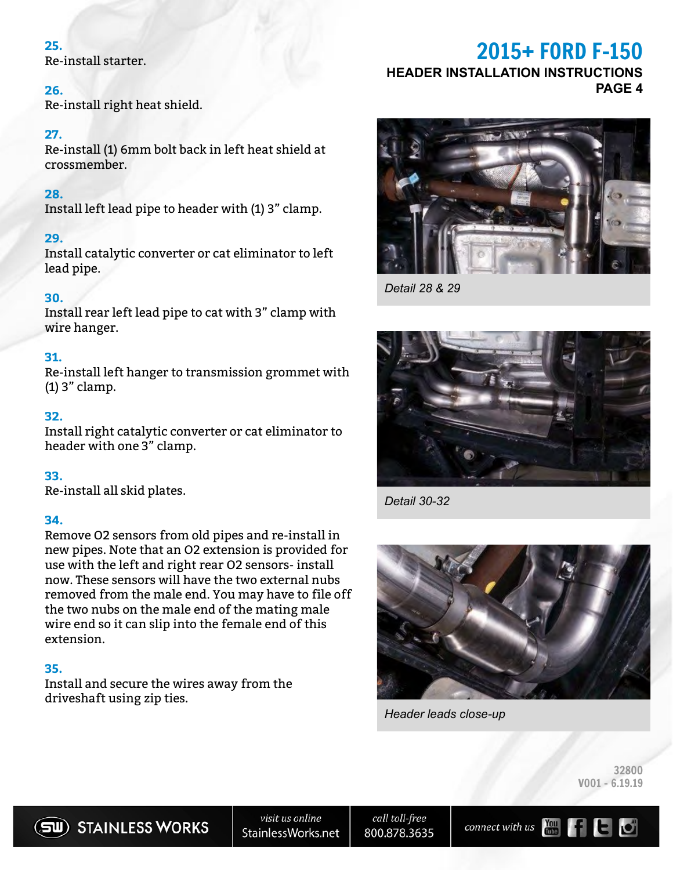#### **25.**

Re-install starter.

#### **26.**

Re-install right heat shield.

#### **27.**

Re-install (1) 6mm bolt back in left heat shield at crossmember.

#### **28.**

Install left lead pipe to header with (1) 3" clamp.

#### **29.**

Install catalytic converter or cat eliminator to left lead pipe.

#### **30.**

Install rear left lead pipe to cat with 3" clamp with wire hanger.

#### **31.**

Re-install left hanger to transmission grommet with (1) 3" clamp.

#### **32.**

Install right catalytic converter or cat eliminator to header with one 3" clamp.

#### **33.**

Re-install all skid plates.

#### **34.**

Remove O2 sensors from old pipes and re-install in new pipes. Note that an O2 extension is provided for use with the left and right rear O2 sensors- install now. These sensors will have the two external nubs removed from the male end. You may have to file off the two nubs on the male end of the mating male wire end so it can slip into the female end of this extension.

#### **35.**

Install and secure the wires away from the driveshaft using zip ties.

## 2015**+** FORD F-150

## **HEADER INSTALLATION INSTRUCTIONS**

**PAGE 4**



*Detail 28 & 29*



*Detail 30-32*



*Header leads close-up*

32800 V001 - 6.19.19